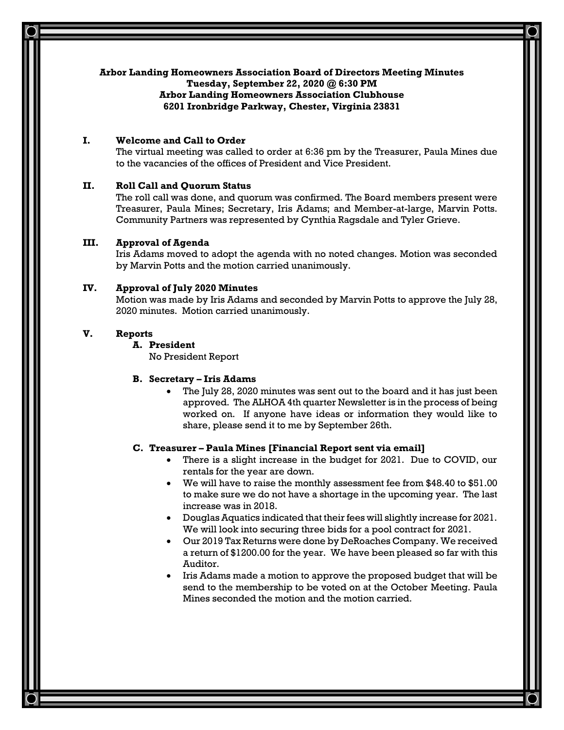## **Arbor Landing Homeowners Association Board of Directors Meeting Minutes**

**Tuesday, September 22, 2020 @ 6:30 PM**

## **Arbor Landing Homeowners Association Clubhouse 6201 Ironbridge Parkway, Chester, Virginia 23831**

# **I. Welcome and Call to Order**

The virtual meeting was called to order at 6:36 pm by the Treasurer, Paula Mines due to the vacancies of the offices of President and Vice President.

# **II. Roll Call and Quorum Status**

The roll call was done, and quorum was confirmed. The Board members present were Treasurer, Paula Mines; Secretary, Iris Adams; and Member-at-large, Marvin Potts. Community Partners was represented by Cynthia Ragsdale and Tyler Grieve.

# **III. Approval of Agenda**

Iris Adams moved to adopt the agenda with no noted changes. Motion was seconded by Marvin Potts and the motion carried unanimously.

# **IV. Approval of July 2020 Minutes**

Motion was made by Iris Adams and seconded by Marvin Potts to approve the July 28, 2020 minutes. Motion carried unanimously.

# **V. Reports**

**A. President** No President Report

# **B. Secretary – Iris Adams**

• The July 28, 2020 minutes was sent out to the board and it has just been approved. The ALHOA 4th quarter Newsletter is in the process of being worked on. If anyone have ideas or information they would like to share, please send it to me by September 26th.

# **C. Treasurer – Paula Mines [Financial Report sent via email]**

- There is a slight increase in the budget for 2021. Due to COVID, our rentals for the year are down.
- We will have to raise the monthly assessment fee from \$48.40 to \$51.00 to make sure we do not have a shortage in the upcoming year. The last increase was in 2018.
- Douglas Aquatics indicated that their fees will slightly increase for 2021. We will look into securing three bids for a pool contract for 2021.
- Our 2019 Tax Returns were done by DeRoaches Company. We received a return of \$1200.00 for the year. We have been pleased so far with this Auditor.
- Iris Adams made a motion to approve the proposed budget that will be send to the membership to be voted on at the October Meeting. Paula Mines seconded the motion and the motion carried.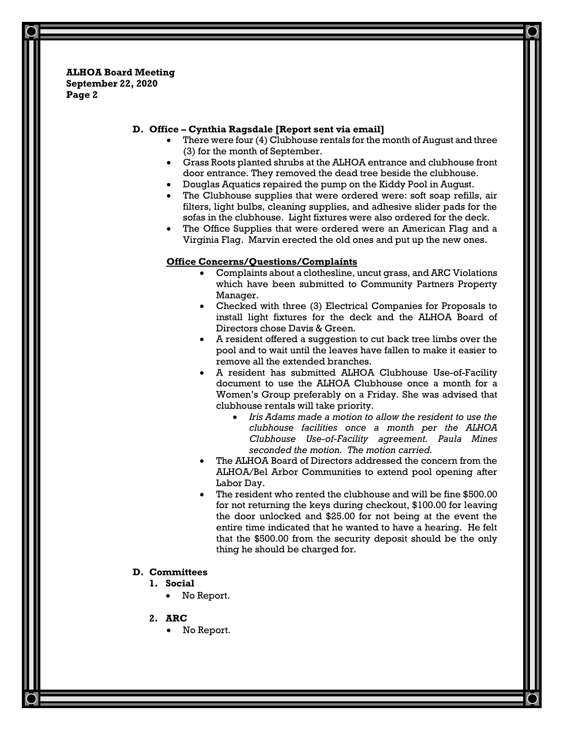**ALHOA Board Meeting September 22, 2020 Page 2**

## **D. Office – Cynthia Ragsdale [Report sent via email]**

- There were four (4) Clubhouse rentals for the month of August and three (3) for the month of September.
- Grass Roots planted shrubs at the ALHOA entrance and clubhouse front door entrance. They removed the dead tree beside the clubhouse.
- Douglas Aquatics repaired the pump on the Kiddy Pool in August.
- The Clubhouse supplies that were ordered were: soft soap refills, air filters, light bulbs, cleaning supplies, and adhesive slider pads for the sofas in the clubhouse. Light fixtures were also ordered for the deck.
- The Office Supplies that were ordered were an American Flag and a Virginia Flag. Marvin erected the old ones and put up the new ones.

#### **Office Concerns/Questions/Complaints**

- Complaints about a clothesline, uncut grass, and ARC Violations which have been submitted to Community Partners Property Manager.
- Checked with three (3) Electrical Companies for Proposals to install light fixtures for the deck and the ALHOA Board of Directors chose Davis & Green.
- A resident offered a suggestion to cut back tree limbs over the pool and to wait until the leaves have fallen to make it easier to remove all the extended branches.
- A resident has submitted ALHOA Clubhouse Use-of-Facility document to use the ALHOA Clubhouse once a month for a Women's Group preferably on a Friday. She was advised that clubhouse rentals will take priority.
	- *Iris Adams made a motion to allow the resident to use the clubhouse facilities once a month per the ALHOA Clubhouse Use-of-Facility agreement. Paula Mines seconded the motion. The motion carried.*
- The ALHOA Board of Directors addressed the concern from the ALHOA/Bel Arbor Communities to extend pool opening after Labor Day.
- The resident who rented the clubhouse and will be fine \$500.00 for not returning the keys during checkout, \$100.00 for leaving the door unlocked and \$25.00 for not being at the event the entire time indicated that he wanted to have a hearing. He felt that the \$500.00 from the security deposit should be the only thing he should be charged for.

#### **D. Committees**

- **1. Social**
	- No Report.
- **2. ARC**
	- No Report.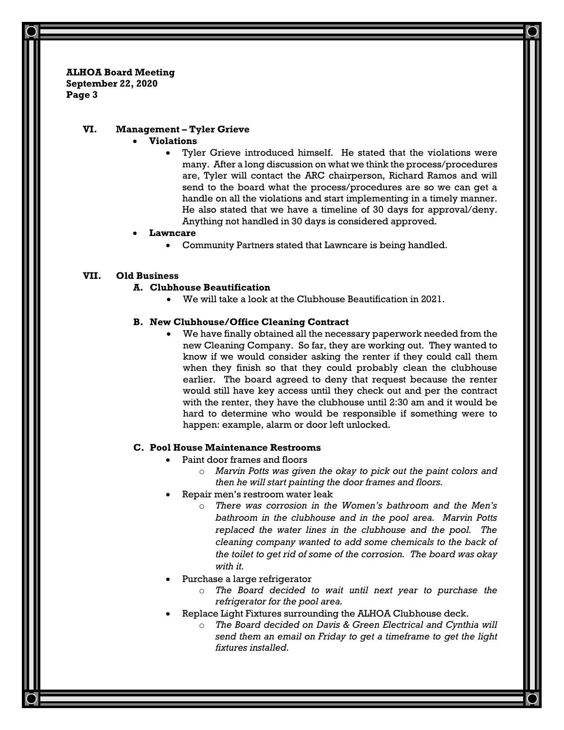**ALHOA Board Meeting September 22, 2020 Page 3**

## **VI. Management – Tyler Grieve**

- **Violations**
	- Tyler Grieve introduced himself. He stated that the violations were many. After a long discussion on what we think the process/procedures are, Tyler will contact the ARC chairperson, Richard Ramos and will send to the board what the process/procedures are so we can get a handle on all the violations and start implementing in a timely manner. He also stated that we have a timeline of 30 days for approval/deny. Anything not handled in 30 days is considered approved.

## • **Lawncare**

• Community Partners stated that Lawncare is being handled.

## **VII. Old Business**

#### **A. Clubhouse Beautification**

• We will take a look at the Clubhouse Beautification in 2021.

## **B. New Clubhouse/Office Cleaning Contract**

• We have finally obtained all the necessary paperwork needed from the new Cleaning Company. So far, they are working out. They wanted to know if we would consider asking the renter if they could call them when they finish so that they could probably clean the clubhouse earlier. The board agreed to deny that request because the renter would still have key access until they check out and per the contract with the renter, they have the clubhouse until 2:30 am and it would be hard to determine who would be responsible if something were to happen: example, alarm or door left unlocked.

#### **C. Pool House Maintenance Restrooms**

- Paint door frames and floors
	- o *Marvin Potts was given the okay to pick out the paint colors and then he will start painting the door frames and floors.*
- Repair men's restroom water leak
	- o *There was corrosion in the Women's bathroom and the Men's bathroom in the clubhouse and in the pool area. Marvin Potts replaced the water lines in the clubhouse and the pool. The cleaning company wanted to add some chemicals to the back of the toilet to get rid of some of the corrosion. The board was okay with it.*
- Purchase a large refrigerator
	- o *The Board decided to wait until next year to purchase the refrigerator for the pool area.*
- Replace Light Fixtures surrounding the ALHOA Clubhouse deck.
	- o *The Board decided on Davis & Green Electrical and Cynthia will send them an email on Friday to get a timeframe to get the light fixtures installed.*